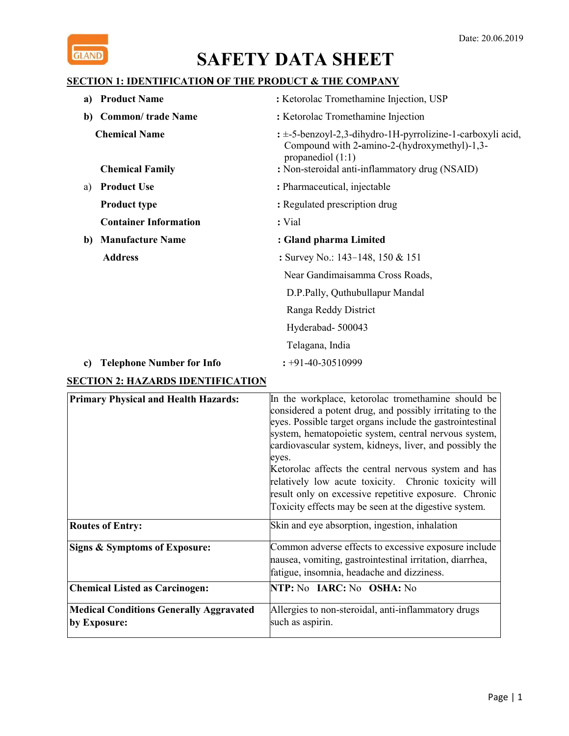

## **SECTION 1: IDENTIFICATION OF THE PRODUCT & THE COMPANY**

| <b>Product Name</b><br>a)                      | : Ketorolac Tromethamine Injection, USP                                                                                                                                               |
|------------------------------------------------|---------------------------------------------------------------------------------------------------------------------------------------------------------------------------------------|
| <b>Common/</b> trade Name<br>b)                | : Ketorolac Tromethamine Injection                                                                                                                                                    |
| <b>Chemical Name</b><br><b>Chemical Family</b> | $\pm$ 5-benzoyl-2,3-dihydro-1H-pyrrolizine-1-carboxyli acid,<br>Compound with 2-amino-2-(hydroxymethyl)-1,3-<br>propanediol $(1:1)$<br>: Non-steroidal anti-inflammatory drug (NSAID) |
| <b>Product Use</b><br>a)                       | : Pharmaceutical, injectable                                                                                                                                                          |
| <b>Product type</b>                            | : Regulated prescription drug                                                                                                                                                         |
| <b>Container Information</b>                   | : Vial                                                                                                                                                                                |
| <b>Manufacture Name</b><br>b)                  | : Gland pharma Limited                                                                                                                                                                |
| <b>Address</b>                                 | : Survey No.: 143-148, 150 & 151                                                                                                                                                      |
|                                                | Near Gandimaisamma Cross Roads,                                                                                                                                                       |
|                                                | D.P.Pally, Quthubullapur Mandal                                                                                                                                                       |
|                                                | Ranga Reddy District                                                                                                                                                                  |
|                                                | Hyderabad-500043                                                                                                                                                                      |
|                                                | Telagana, India                                                                                                                                                                       |
| <b>Telephone Number for Info</b><br>c)         | $\div 91 - 40 - 30510999$                                                                                                                                                             |

## **SECTION 2: HAZARDS IDENTIFICATION**

| <b>Primary Physical and Health Hazards:</b>                    | In the workplace, ketorolac tromethamine should be<br>considered a potent drug, and possibly irritating to the<br>eyes. Possible target organs include the gastrointestinal<br>system, hematopoietic system, central nervous system,<br>cardiovascular system, kidneys, liver, and possibly the<br>eyes.<br>Ketorolac affects the central nervous system and has<br>relatively low acute toxicity. Chronic toxicity will<br>result only on excessive repetitive exposure. Chronic<br>Toxicity effects may be seen at the digestive system. |
|----------------------------------------------------------------|--------------------------------------------------------------------------------------------------------------------------------------------------------------------------------------------------------------------------------------------------------------------------------------------------------------------------------------------------------------------------------------------------------------------------------------------------------------------------------------------------------------------------------------------|
| <b>Routes of Entry:</b>                                        | Skin and eye absorption, ingestion, inhalation                                                                                                                                                                                                                                                                                                                                                                                                                                                                                             |
| Signs & Symptoms of Exposure:                                  | Common adverse effects to excessive exposure include<br>nausea, vomiting, gastrointestinal irritation, diarrhea,<br>fatigue, insomnia, headache and dizziness.                                                                                                                                                                                                                                                                                                                                                                             |
| <b>Chemical Listed as Carcinogen:</b>                          | NTP: No IARC: No OSHA: No                                                                                                                                                                                                                                                                                                                                                                                                                                                                                                                  |
| <b>Medical Conditions Generally Aggravated</b><br>by Exposure: | Allergies to non-steroidal, anti-inflammatory drugs<br>such as aspirin.                                                                                                                                                                                                                                                                                                                                                                                                                                                                    |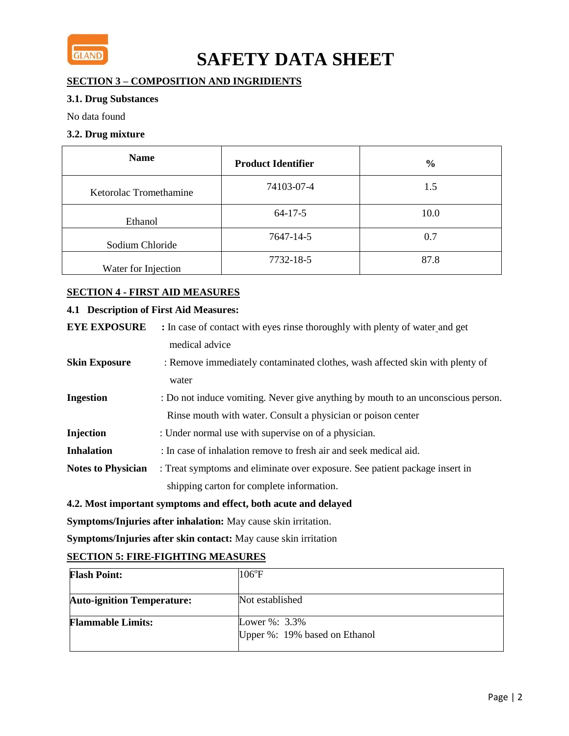

## **SECTION 3 – COMPOSITION AND INGRIDIENTS**

### **3.1. Drug Substances**

No data found

### **3.2. Drug mixture**

| <b>Name</b>            | <b>Product Identifier</b> | $\frac{6}{9}$ |
|------------------------|---------------------------|---------------|
| Ketorolac Tromethamine | 74103-07-4                | 1.5           |
| Ethanol                | $64-17-5$                 | 10.0          |
| Sodium Chloride        | 7647-14-5                 | 0.7           |
| Water for Injection    | 7732-18-5                 | 87.8          |

## **SECTION 4 - FIRST AID MEASURES**

### **4.1 Description of First Aid Measures:**

| <b>EYE EXPOSURE</b>       | : In case of contact with eyes rinse thoroughly with plenty of water and get     |
|---------------------------|----------------------------------------------------------------------------------|
|                           | medical advice                                                                   |
| <b>Skin Exposure</b>      | : Remove immediately contaminated clothes, wash affected skin with plenty of     |
|                           | water                                                                            |
| <b>Ingestion</b>          | : Do not induce vomiting. Never give anything by mouth to an unconscious person. |
|                           | Rinse mouth with water. Consult a physician or poison center                     |
| Injection                 | : Under normal use with supervise on of a physician.                             |
| <b>Inhalation</b>         | : In case of inhalation remove to fresh air and seek medical aid.                |
| <b>Notes to Physician</b> | : Treat symptoms and eliminate over exposure. See patient package insert in      |
|                           | shipping carton for complete information.                                        |
|                           |                                                                                  |

### **4.2. Most important symptoms and effect, both acute and delayed**

**Symptoms/Injuries after inhalation:** May cause skin irritation.

**Symptoms/Injuries after skin contact:** May cause skin irritation

## **SECTION 5: FIRE-FIGHTING MEASURES**

| <b>Flash Point:</b>               | $106^{\circ}$ F                                    |
|-----------------------------------|----------------------------------------------------|
| <b>Auto-ignition Temperature:</b> | Not established                                    |
| <b>Flammable Limits:</b>          | Lower $\%$ : 3.3%<br>Upper %: 19% based on Ethanol |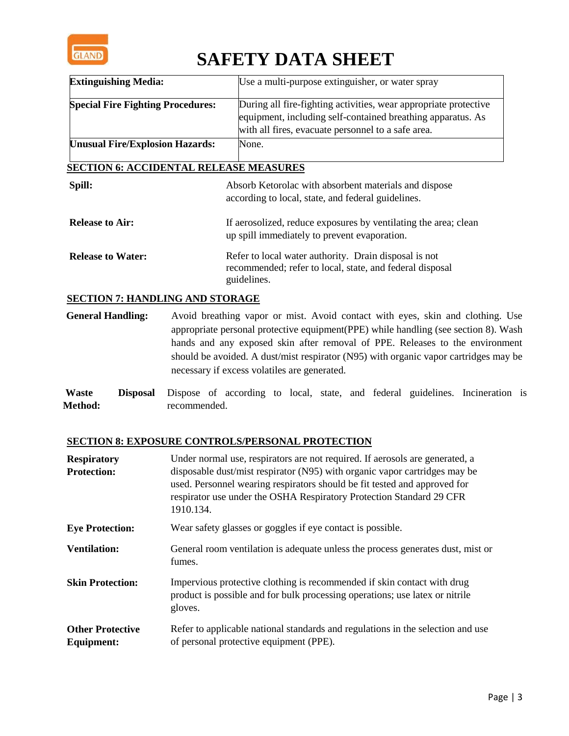

| <b>Extinguishing Media:</b>                   | Use a multi-purpose extinguisher, or water spray                                                                                                                                      |
|-----------------------------------------------|---------------------------------------------------------------------------------------------------------------------------------------------------------------------------------------|
| <b>Special Fire Fighting Procedures:</b>      | During all fire-fighting activities, wear appropriate protective<br>equipment, including self-contained breathing apparatus. As<br>with all fires, evacuate personnel to a safe area. |
| <b>Unusual Fire/Explosion Hazards:</b>        | None.                                                                                                                                                                                 |
| <b>SECTION 6: ACCIDENTAL RELEASE MEASURES</b> |                                                                                                                                                                                       |
| Spill:                                        | Absorb Ketorolac with absorbent materials and dispose<br>according to local, state, and federal guidelines.                                                                           |
| <b>Release to Air:</b>                        | If aerosolized, reduce exposures by ventilating the area; clean<br>up spill immediately to prevent evaporation.                                                                       |
| <b>Release to Water:</b>                      | Refer to local water authority. Drain disposal is not<br>recommended; refer to local, state, and federal disposal<br>guidelines.                                                      |

## **SECTION 7: HANDLING AND STORAGE**

**General Handling:** Avoid breathing vapor or mist. Avoid contact with eyes, skin and clothing. Use appropriate personal protective equipment(PPE) while handling (see section 8). Wash hands and any exposed skin after removal of PPE. Releases to the environment should be avoided. A dust/mist respirator (N95) with organic vapor cartridges may be necessary if excess volatiles are generated.

**Waste Disposal Method:**  Dispose of according to local, state, and federal guidelines. Incineration is recommended.

### **SECTION 8: EXPOSURE CONTROLS/PERSONAL PROTECTION**

| <b>Respiratory</b><br><b>Protection:</b>     | Under normal use, respirators are not required. If aerosols are generated, a<br>disposable dust/mist respirator (N95) with organic vapor cartridges may be<br>used. Personnel wearing respirators should be fit tested and approved for<br>respirator use under the OSHA Respiratory Protection Standard 29 CFR<br>1910.134. |
|----------------------------------------------|------------------------------------------------------------------------------------------------------------------------------------------------------------------------------------------------------------------------------------------------------------------------------------------------------------------------------|
| <b>Eye Protection:</b>                       | Wear safety glasses or goggles if eye contact is possible.                                                                                                                                                                                                                                                                   |
| <b>Ventilation:</b>                          | General room ventilation is adequate unless the process generates dust, mist or<br>fumes.                                                                                                                                                                                                                                    |
| <b>Skin Protection:</b>                      | Impervious protective clothing is recommended if skin contact with drug<br>product is possible and for bulk processing operations; use latex or nitrile<br>gloves.                                                                                                                                                           |
| <b>Other Protective</b><br><b>Equipment:</b> | Refer to applicable national standards and regulations in the selection and use<br>of personal protective equipment (PPE).                                                                                                                                                                                                   |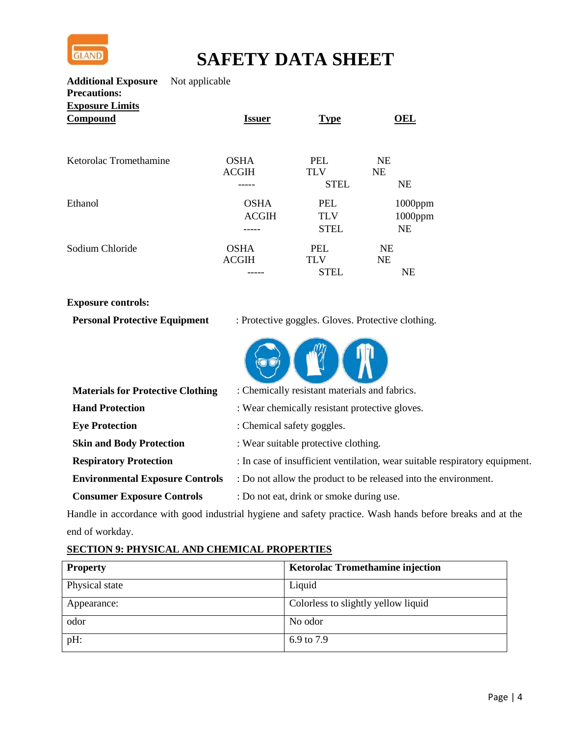

**Additional Exposure Precautions:**  Not applicable **Exposure Limits**

| Compound               | <b>Issuer</b>               | <b>Type</b>              | ЭEI                    |
|------------------------|-----------------------------|--------------------------|------------------------|
| Ketorolac Tromethamine | <b>OSHA</b><br><b>ACGIH</b> | <b>PEL</b><br><b>TLV</b> | <b>NE</b><br><b>NE</b> |
|                        |                             | <b>STEL</b>              | <b>NE</b>              |
| Ethanol                | <b>OSHA</b>                 | <b>PEL</b>               | $1000$ ppm             |
|                        | <b>ACGIH</b>                | <b>TLV</b>               | 1000ppm                |
|                        |                             | <b>STEL</b>              | <b>NE</b>              |
| Sodium Chloride        | <b>OSHA</b>                 | <b>PEL</b>               | <b>NE</b>              |
|                        | <b>ACGIH</b>                | <b>TLV</b>               | <b>NE</b>              |
|                        |                             | <b>STEL</b>              | <b>NE</b>              |

## **Exposure controls:**

| <b>Personal Protective Equipment</b> | : Protective goggles. Gloves. Protective clothing. |  |
|--------------------------------------|----------------------------------------------------|--|
|                                      |                                                    |  |

| : Chemically resistant materials and fabrics.                               |
|-----------------------------------------------------------------------------|
| : Wear chemically resistant protective gloves.                              |
| : Chemical safety goggles.                                                  |
| : Wear suitable protective clothing.                                        |
| : In case of insufficient ventilation, wear suitable respiratory equipment. |
| : Do not allow the product to be released into the environment.             |
| : Do not eat, drink or smoke during use.                                    |
|                                                                             |

Handle in accordance with good industrial hygiene and safety practice. Wash hands before breaks and at the end of workday.

## **SECTION 9: PHYSICAL AND CHEMICAL PROPERTIES**

| <b>Property</b> | <b>Ketorolac Tromethamine injection</b> |
|-----------------|-----------------------------------------|
| Physical state  | Liquid                                  |
| Appearance:     | Colorless to slightly yellow liquid     |
| odor            | No odor                                 |
| pH:             | 6.9 to 7.9                              |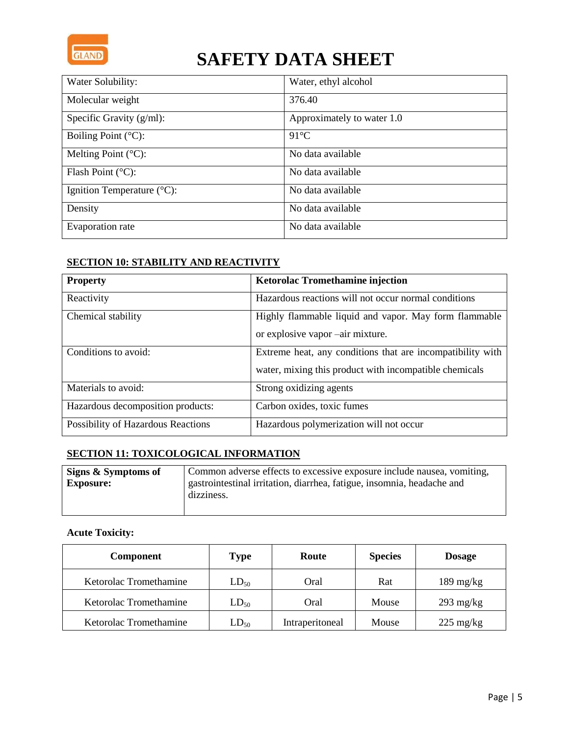

| Water Solubility:                    | Water, ethyl alcohol       |
|--------------------------------------|----------------------------|
| Molecular weight                     | 376.40                     |
| Specific Gravity $(g/ml)$ :          | Approximately to water 1.0 |
| Boiling Point $(^{\circ}C)$ :        | $91^{\circ}$ C             |
| Melting Point $(^{\circ}C)$ :        | No data available          |
| Flash Point $(^{\circ}C)$ :          | No data available          |
| Ignition Temperature $(^{\circ}C)$ : | No data available          |
| Density                              | No data available          |
| Evaporation rate                     | No data available          |

## **SECTION 10: STABILITY AND REACTIVITY**

| <b>Property</b>                    | <b>Ketorolac Tromethamine injection</b>                                                                              |
|------------------------------------|----------------------------------------------------------------------------------------------------------------------|
| Reactivity                         | Hazardous reactions will not occur normal conditions                                                                 |
| Chemical stability                 | Highly flammable liquid and vapor. May form flammable<br>or explosive vapor –air mixture.                            |
| Conditions to avoid:               | Extreme heat, any conditions that are incompatibility with<br>water, mixing this product with incompatible chemicals |
| Materials to avoid:                | Strong oxidizing agents                                                                                              |
| Hazardous decomposition products:  | Carbon oxides, toxic fumes                                                                                           |
| Possibility of Hazardous Reactions | Hazardous polymerization will not occur                                                                              |

## **SECTION 11: TOXICOLOGICAL INFORMATION**

| Signs & Symptoms of | Common adverse effects to excessive exposure include nausea, vomiting, |
|---------------------|------------------------------------------------------------------------|
| <b>Exposure:</b>    | gastrointestinal irritation, diarrhea, fatigue, insomnia, headache and |
|                     | dizziness.                                                             |
|                     |                                                                        |

## **Acute Toxicity:**

| <b>Component</b>       | <b>Type</b> | Route           | <b>Species</b> | <b>Dosage</b>       |
|------------------------|-------------|-----------------|----------------|---------------------|
| Ketorolac Tromethamine | $LD_{50}$   | Oral            | Rat            | $189 \text{ mg/kg}$ |
| Ketorolac Tromethamine | $LD_{50}$   | Oral            | Mouse          | $293 \text{ mg/kg}$ |
| Ketorolac Tromethamine | $LD_{50}$   | Intraperitoneal | Mouse          | $225 \text{ mg/kg}$ |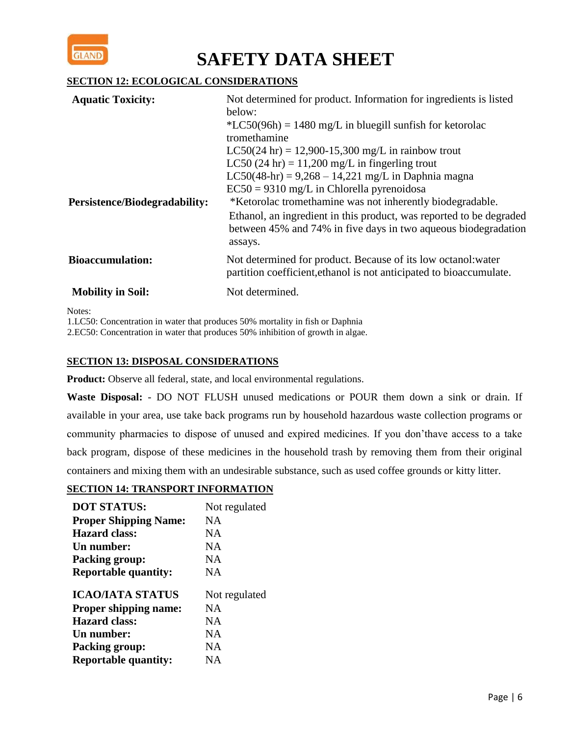

## **SECTION 12: ECOLOGICAL CONSIDERATIONS**

| <b>Aquatic Toxicity:</b>             | Not determined for product. Information for ingredients is listed                                                                    |
|--------------------------------------|--------------------------------------------------------------------------------------------------------------------------------------|
|                                      | below:                                                                                                                               |
|                                      | $*LC50(96h) = 1480$ mg/L in bluegill sunfish for ketorolac                                                                           |
|                                      | tromethamine                                                                                                                         |
|                                      | $LC50(24 \text{ hr}) = 12,900-15,300 \text{ mg/L}$ in rainbow trout                                                                  |
|                                      | LC50 $(24 \text{ hr}) = 11,200 \text{ mg/L}$ in fingerling trout                                                                     |
|                                      | $LC50(48-hr) = 9,268 - 14,221$ mg/L in Daphnia magna                                                                                 |
|                                      | $EC50 = 9310$ mg/L in Chlorella pyrenoidosa                                                                                          |
| <b>Persistence/Biodegradability:</b> | *Ketorolac tromethamine was not inherently biodegradable.                                                                            |
|                                      | Ethanol, an ingredient in this product, was reported to be degraded                                                                  |
|                                      | between 45% and 74% in five days in two aqueous biodegradation                                                                       |
|                                      | assays.                                                                                                                              |
| <b>Bioaccumulation:</b>              | Not determined for product. Because of its low octanol: water<br>partition coefficient, ethanol is not anticipated to bioaccumulate. |
| <b>Mobility in Soil:</b>             | Not determined.                                                                                                                      |

Notes:

1.LC50: Concentration in water that produces 50% mortality in fish or Daphnia

2.EC50: Concentration in water that produces 50% inhibition of growth in algae.

## **SECTION 13: DISPOSAL CONSIDERATIONS**

**Product:** Observe all federal, state, and local environmental regulations.

**Waste Disposal:** - DO NOT FLUSH unused medications or POUR them down a sink or drain. If available in your area, use take back programs run by household hazardous waste collection programs or community pharmacies to dispose of unused and expired medicines. If you don'thave access to a take back program, dispose of these medicines in the household trash by removing them from their original containers and mixing them with an undesirable substance, such as used coffee grounds or kitty litter.

### **SECTION 14: TRANSPORT INFORMATION**

| <b>DOT STATUS:</b>           | Not regulated |
|------------------------------|---------------|
| <b>Proper Shipping Name:</b> | NΑ            |
| <b>Hazard class:</b>         | NA.           |
| Un number:                   | NA            |
| Packing group:               | NA.           |
| <b>Reportable quantity:</b>  | NA            |
|                              |               |
| <b>ICAO/IATA STATUS</b>      | Not regulated |
| <b>Proper shipping name:</b> | NΑ            |
| <b>Hazard class:</b>         | NA            |
| Un number:                   | NΑ            |
| <b>Packing group:</b>        | NA.           |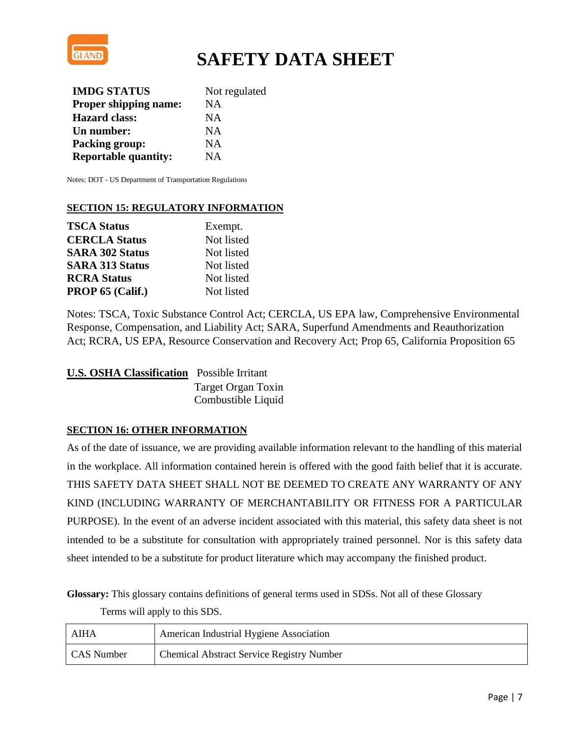

| <b>IMDG STATUS</b>           | Not regulated |
|------------------------------|---------------|
| <b>Proper shipping name:</b> | <b>NA</b>     |
| <b>Hazard class:</b>         | <b>NA</b>     |
| Un number:                   | <b>NA</b>     |
| <b>Packing group:</b>        | <b>NA</b>     |
| <b>Reportable quantity:</b>  | NA.           |

Notes: DOT - US Department of Transportation Regulations

## **SECTION 15: REGULATORY INFORMATION**

| <b>TSCA Status</b>     | Exempt.    |
|------------------------|------------|
| <b>CERCLA Status</b>   | Not listed |
| <b>SARA 302 Status</b> | Not listed |
| <b>SARA 313 Status</b> | Not listed |
| <b>RCRA Status</b>     | Not listed |
| PROP 65 (Calif.)       | Not listed |

Notes: TSCA, Toxic Substance Control Act; CERCLA, US EPA law, Comprehensive Environmental Response, Compensation, and Liability Act; SARA, Superfund Amendments and Reauthorization Act; RCRA, US EPA, Resource Conservation and Recovery Act; Prop 65, California Proposition 65

| <b>U.S. OSHA Classification</b> Possible Irritant |                    |
|---------------------------------------------------|--------------------|
|                                                   | Target Organ Toxin |
|                                                   | Combustible Liquid |

### **SECTION 16: OTHER INFORMATION**

As of the date of issuance, we are providing available information relevant to the handling of this material in the workplace. All information contained herein is offered with the good faith belief that it is accurate. THIS SAFETY DATA SHEET SHALL NOT BE DEEMED TO CREATE ANY WARRANTY OF ANY KIND (INCLUDING WARRANTY OF MERCHANTABILITY OR FITNESS FOR A PARTICULAR PURPOSE). In the event of an adverse incident associated with this material, this safety data sheet is not intended to be a substitute for consultation with appropriately trained personnel. Nor is this safety data sheet intended to be a substitute for product literature which may accompany the finished product.

**Glossary:** This glossary contains definitions of general terms used in SDSs. Not all of these Glossary

Terms will apply to this SDS.

| AIHA       | American Industrial Hygiene Association          |
|------------|--------------------------------------------------|
| CAS Number | <b>Chemical Abstract Service Registry Number</b> |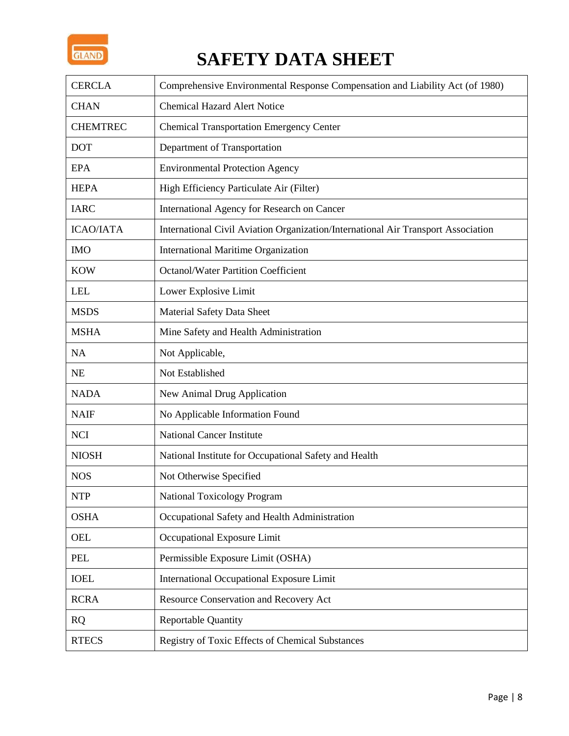

| <b>CERCLA</b>    | Comprehensive Environmental Response Compensation and Liability Act (of 1980)     |
|------------------|-----------------------------------------------------------------------------------|
| <b>CHAN</b>      | <b>Chemical Hazard Alert Notice</b>                                               |
| <b>CHEMTREC</b>  | <b>Chemical Transportation Emergency Center</b>                                   |
| <b>DOT</b>       | Department of Transportation                                                      |
| <b>EPA</b>       | <b>Environmental Protection Agency</b>                                            |
| <b>HEPA</b>      | High Efficiency Particulate Air (Filter)                                          |
| <b>IARC</b>      | International Agency for Research on Cancer                                       |
| <b>ICAO/IATA</b> | International Civil Aviation Organization/International Air Transport Association |
| <b>IMO</b>       | <b>International Maritime Organization</b>                                        |
| <b>KOW</b>       | <b>Octanol/Water Partition Coefficient</b>                                        |
| <b>LEL</b>       | Lower Explosive Limit                                                             |
| <b>MSDS</b>      | Material Safety Data Sheet                                                        |
| <b>MSHA</b>      | Mine Safety and Health Administration                                             |
| <b>NA</b>        | Not Applicable,                                                                   |
| <b>NE</b>        | Not Established                                                                   |
| <b>NADA</b>      | New Animal Drug Application                                                       |
| <b>NAIF</b>      | No Applicable Information Found                                                   |
| <b>NCI</b>       | <b>National Cancer Institute</b>                                                  |
| <b>NIOSH</b>     | National Institute for Occupational Safety and Health                             |
| <b>NOS</b>       | Not Otherwise Specified                                                           |
| <b>NTP</b>       | <b>National Toxicology Program</b>                                                |
| <b>OSHA</b>      | Occupational Safety and Health Administration                                     |
| <b>OEL</b>       | Occupational Exposure Limit                                                       |
| PEL              | Permissible Exposure Limit (OSHA)                                                 |
| <b>IOEL</b>      | International Occupational Exposure Limit                                         |
| <b>RCRA</b>      | Resource Conservation and Recovery Act                                            |
| <b>RQ</b>        | <b>Reportable Quantity</b>                                                        |
| <b>RTECS</b>     | Registry of Toxic Effects of Chemical Substances                                  |